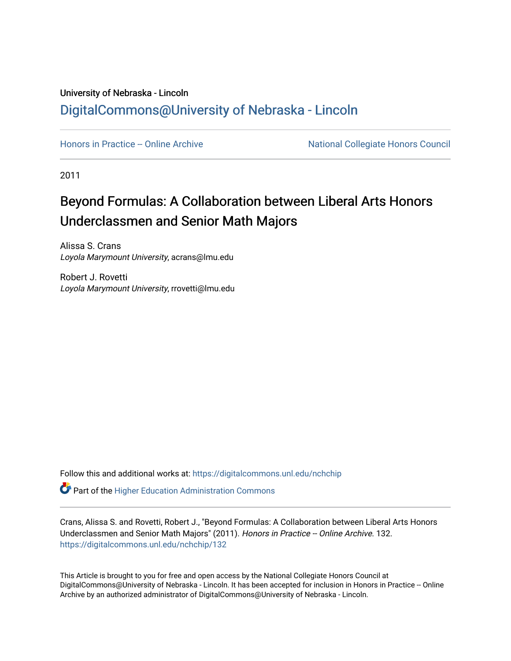## University of Nebraska - Lincoln [DigitalCommons@University of Nebraska - Lincoln](https://digitalcommons.unl.edu/)

[Honors in Practice -- Online Archive](https://digitalcommons.unl.edu/nchchip) National Collegiate Honors Council

2011

## Beyond Formulas: A Collaboration between Liberal Arts Honors Underclassmen and Senior Math Majors

Alissa S. Crans Loyola Marymount University, acrans@lmu.edu

Robert J. Rovetti Loyola Marymount University, rrovetti@lmu.edu

Follow this and additional works at: [https://digitalcommons.unl.edu/nchchip](https://digitalcommons.unl.edu/nchchip?utm_source=digitalcommons.unl.edu%2Fnchchip%2F132&utm_medium=PDF&utm_campaign=PDFCoverPages) 

**C** Part of the Higher Education Administration Commons

Crans, Alissa S. and Rovetti, Robert J., "Beyond Formulas: A Collaboration between Liberal Arts Honors Underclassmen and Senior Math Majors" (2011). Honors in Practice -- Online Archive. 132. [https://digitalcommons.unl.edu/nchchip/132](https://digitalcommons.unl.edu/nchchip/132?utm_source=digitalcommons.unl.edu%2Fnchchip%2F132&utm_medium=PDF&utm_campaign=PDFCoverPages) 

This Article is brought to you for free and open access by the National Collegiate Honors Council at DigitalCommons@University of Nebraska - Lincoln. It has been accepted for inclusion in Honors in Practice -- Online Archive by an authorized administrator of DigitalCommons@University of Nebraska - Lincoln.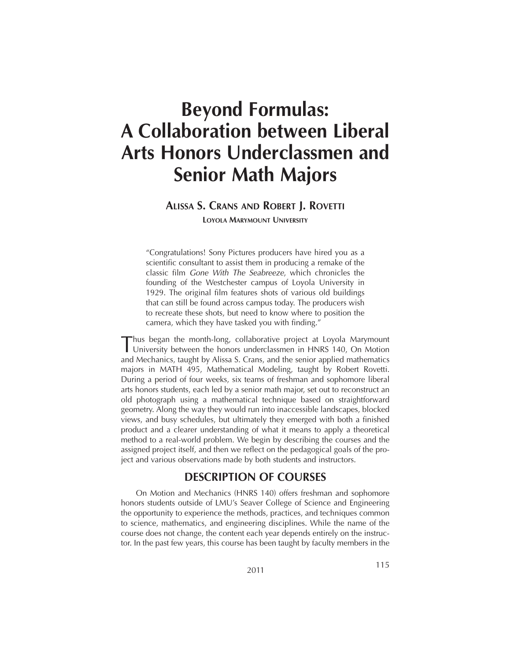# **Beyond Formulas: A Collaboration between Liberal Arts Honors Underclassmen and Senior Math Majors**

## **ALISSA S. CRANS AND ROBERT J. ROVETTI**

**LOYOLA MARYMOUNT UNIVERSITY**

"Congratulations! Sony Pictures producers have hired you as a scientific consultant to assist them in producing a remake of the classic film *Gone With The Seabreeze*, which chronicles the founding of the Westchester campus of Loyola University in 1929. The original film features shots of various old buildings that can still be found across campus today. The producers wish to recreate these shots, but need to know where to position the camera, which they have tasked you with finding."

Thus began the month-long, collaborative project at Loyola Marymount University between the honors underclassmen in HNRS 140, On Motion and Mechanics, taught by Alissa S. Crans, and the senior applied mathematics majors in MATH 495, Mathematical Modeling, taught by Robert Rovetti. During a period of four weeks, six teams of freshman and sophomore liberal arts honors students, each led by a senior math major, set out to reconstruct an old photograph using a mathematical technique based on straightforward geometry. Along the way they would run into inaccessible landscapes, blocked views, and busy schedules, but ultimately they emerged with both a finished product and a clearer understanding of what it means to apply a theoretical method to a real-world problem. We begin by describing the courses and the assigned project itself, and then we reflect on the pedagogical goals of the project and various observations made by both students and instructors.

## **DESCRIPTION OF COURSES**

On Motion and Mechanics (HNRS 140) offers freshman and sophomore honors students outside of LMU's Seaver College of Science and Engineering the opportunity to experience the methods, practices, and techniques common to science, mathematics, and engineering disciplines. While the name of the course does not change, the content each year depends entirely on the instructor. In the past few years, this course has been taught by faculty members in the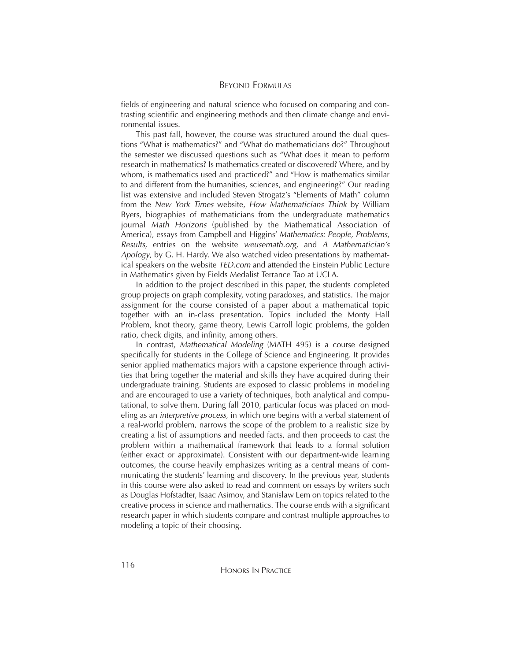fields of engineering and natural science who focused on comparing and contrasting scientific and engineering methods and then climate change and environmental issues.

This past fall, however, the course was structured around the dual questions "What is mathematics?" and "What do mathematicians do?" Throughout the semester we discussed questions such as "What does it mean to perform research in mathematics? Is mathematics created or discovered? Where, and by whom, is mathematics used and practiced?" and "How is mathematics similar to and different from the humanities, sciences, and engineering?" Our reading list was extensive and included Steven Strogatz's "Elements of Math" column from the *New York Times* website, *How Mathematicians Think* by William Byers, biographies of mathematicians from the undergraduate mathematics journal *Math Horizons* (published by the Mathematical Association of America), essays from Campbell and Higgins' *Mathematics: People, Problems*, *Results*, entries on the website *weusemath.org*, and *A Mathematician's Apology*, by G. H. Hardy. We also watched video presentations by mathematical speakers on the website *TED.com* and attended the Einstein Public Lecture in Mathematics given by Fields Medalist Terrance Tao at UCLA.

In addition to the project described in this paper, the students completed group projects on graph complexity, voting paradoxes, and statistics. The major assignment for the course consisted of a paper about a mathematical topic together with an in-class presentation. Topics included the Monty Hall Problem, knot theory, game theory, Lewis Carroll logic problems, the golden ratio, check digits, and infinity, among others.

In contrast, *Mathematical Modeling* (MATH 495) is a course designed specifically for students in the College of Science and Engineering. It provides senior applied mathematics majors with a capstone experience through activities that bring together the material and skills they have acquired during their undergraduate training. Students are exposed to classic problems in modeling and are encouraged to use a variety of techniques, both analytical and computational, to solve them. During fall 2010, particular focus was placed on modeling as an *interpretive process*, in which one begins with a verbal statement of a real-world problem, narrows the scope of the problem to a realistic size by creating a list of assumptions and needed facts, and then proceeds to cast the problem within a mathematical framework that leads to a formal solution (either exact or approximate). Consistent with our department-wide learning outcomes, the course heavily emphasizes writing as a central means of communicating the students' learning and discovery. In the previous year, students in this course were also asked to read and comment on essays by writers such as Douglas Hofstadter, Isaac Asimov, and Stanislaw Lem on topics related to the creative process in science and mathematics. The course ends with a significant research paper in which students compare and contrast multiple approaches to modeling a topic of their choosing.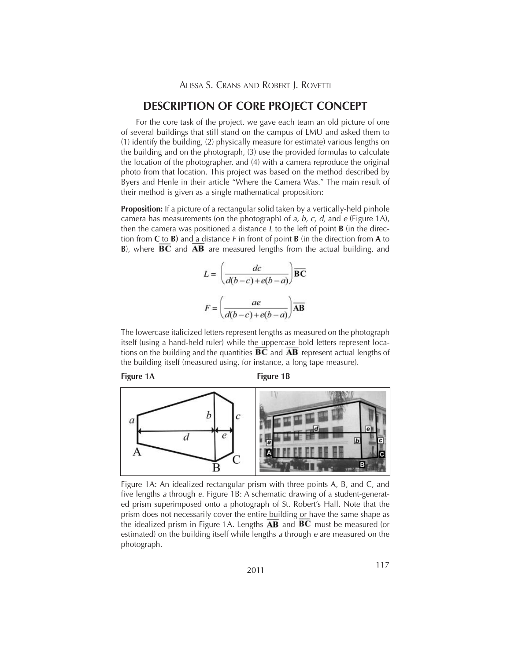## **DESCRIPTION OF CORE PROJECT CONCEPT**

For the core task of the project, we gave each team an old picture of one of several buildings that still stand on the campus of LMU and asked them to (1) identify the building, (2) physically measure (or estimate) various lengths on the building and on the photograph, (3) use the provided formulas to calculate the location of the photographer, and (4) with a camera reproduce the original photo from that location. This project was based on the method described by Byers and Henle in their article "Where the Camera Was." The main result of their method is given as a single mathematical proposition:

**Proposition:** If a picture of a rectangular solid taken by a vertically-held pinhole camera has measurements (on the photograph) of *a, b, c, d,* and *e* (Figure 1A), then the camera was positioned a distance *L* to the left of point **B** (in the direction from **C** to **B)** and a distance *F* in front of point **B** (in the direction from **A** to **B**), where **BC** and **AB** are measured lengths from the actual building, and

$$
L = \left(\frac{dc}{d(b-c) + e(b-a)}\right)\overline{BC}
$$

$$
F = \left(\frac{ae}{d(b-c) + e(b-a)}\right)\overline{AB}
$$

The lowercase italicized letters represent lengths as measured on the photograph itself (using a hand-held ruler) while the uppercase bold letters represent locations on the building and the quantities  $\overline{BC}$  and  $\overline{AB}$  represent actual lengths of the building itself (measured using, for instance, a long tape measure).

Figure 1A **Figure 1B** 



Figure 1A: An idealized rectangular prism with three points A, B, and C, and five lengths *a* through *e*. Figure 1B: A schematic drawing of a student-generated prism superimposed onto a photograph of St. Robert's Hall. Note that the prism does not necessarily cover the entire building or have the same shape as the idealized prism in Figure 1A. Lengths  $\overline{AB}$  and  $\overline{BC}$  must be measured (or estimated) on the building itself while lengths *a* through *e* are measured on the photograph.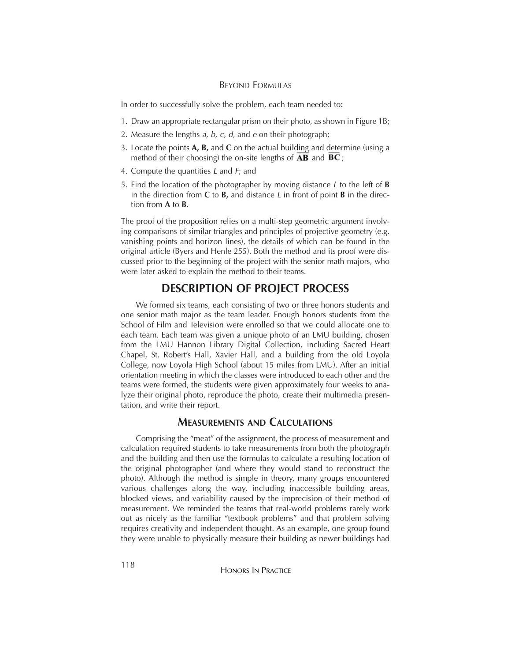#### BEYOND FORMULAS

In order to successfully solve the problem, each team needed to:

- 1. Draw an appropriate rectangular prism on their photo, as shown in Figure 1B;
- 2. Measure the lengths *a, b, c, d,* and *e* on their photograph;
- 3. Locate the points **A, B,** and **C** on the actual building and determine (using a method of their choosing) the on-site lengths of  $\mathbf{AB}$  and  $\mathbf{BC}$ ;
- 4. Compute the quantities *L* and *F*; and
- 5. Find the location of the photographer by moving distance *L* to the left of **B** in the direction from **C** to **B,** and distance *L* in front of point **B** in the direction from **A** to **B**.

The proof of the proposition relies on a multi-step geometric argument involving comparisons of similar triangles and principles of projective geometry (e.g. vanishing points and horizon lines), the details of which can be found in the original article (Byers and Henle 255). Both the method and its proof were discussed prior to the beginning of the project with the senior math majors, who were later asked to explain the method to their teams.

## **DESCRIPTION OF PROJECT PROCESS**

We formed six teams, each consisting of two or three honors students and one senior math major as the team leader. Enough honors students from the School of Film and Television were enrolled so that we could allocate one to each team. Each team was given a unique photo of an LMU building, chosen from the LMU Hannon Library Digital Collection, including Sacred Heart Chapel, St. Robert's Hall, Xavier Hall, and a building from the old Loyola College, now Loyola High School (about 15 miles from LMU). After an initial orientation meeting in which the classes were introduced to each other and the teams were formed, the students were given approximately four weeks to analyze their original photo, reproduce the photo, create their multimedia presentation, and write their report.

#### **MEASUREMENTS AND CALCULATIONS**

Comprising the "meat" of the assignment, the process of measurement and calculation required students to take measurements from both the photograph and the building and then use the formulas to calculate a resulting location of the original photographer (and where they would stand to reconstruct the photo). Although the method is simple in theory, many groups encountered various challenges along the way, including inaccessible building areas, blocked views, and variability caused by the imprecision of their method of measurement. We reminded the teams that real-world problems rarely work out as nicely as the familiar "textbook problems" and that problem solving requires creativity and independent thought. As an example, one group found they were unable to physically measure their building as newer buildings had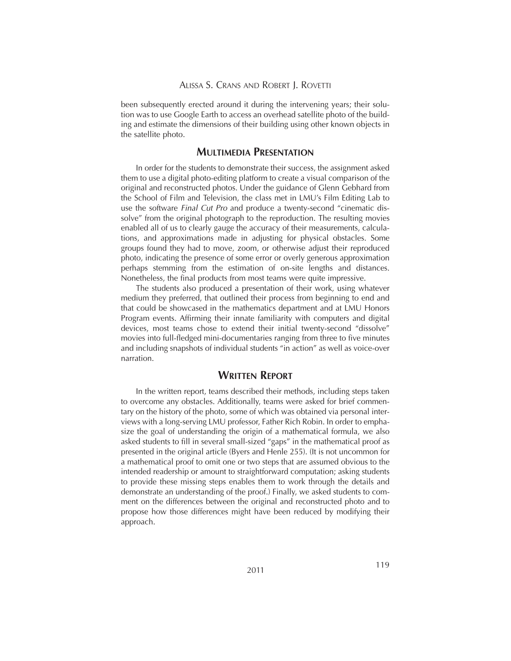been subsequently erected around it during the intervening years; their solution was to use Google Earth to access an overhead satellite photo of the building and estimate the dimensions of their building using other known objects in the satellite photo.

#### **MULTIMEDIA PRESENTATION**

In order for the students to demonstrate their success, the assignment asked them to use a digital photo-editing platform to create a visual comparison of the original and reconstructed photos. Under the guidance of Glenn Gebhard from the School of Film and Television, the class met in LMU's Film Editing Lab to use the software *Final Cut Pro* and produce a twenty-second "cinematic dissolve" from the original photograph to the reproduction. The resulting movies enabled all of us to clearly gauge the accuracy of their measurements, calculations, and approximations made in adjusting for physical obstacles. Some groups found they had to move, zoom, or otherwise adjust their reproduced photo, indicating the presence of some error or overly generous approximation perhaps stemming from the estimation of on-site lengths and distances. Nonetheless, the final products from most teams were quite impressive.

The students also produced a presentation of their work, using whatever medium they preferred, that outlined their process from beginning to end and that could be showcased in the mathematics department and at LMU Honors Program events. Affirming their innate familiarity with computers and digital devices, most teams chose to extend their initial twenty-second "dissolve" movies into full-fledged mini-documentaries ranging from three to five minutes and including snapshots of individual students "in action" as well as voice-over narration.

## **WRITTEN REPORT**

In the written report, teams described their methods, including steps taken to overcome any obstacles. Additionally, teams were asked for brief commentary on the history of the photo, some of which was obtained via personal interviews with a long-serving LMU professor, Father Rich Robin. In order to emphasize the goal of understanding the origin of a mathematical formula, we also asked students to fill in several small-sized "gaps" in the mathematical proof as presented in the original article (Byers and Henle 255). (It is not uncommon for a mathematical proof to omit one or two steps that are assumed obvious to the intended readership or amount to straightforward computation; asking students to provide these missing steps enables them to work through the details and demonstrate an understanding of the proof.) Finally, we asked students to comment on the differences between the original and reconstructed photo and to propose how those differences might have been reduced by modifying their approach.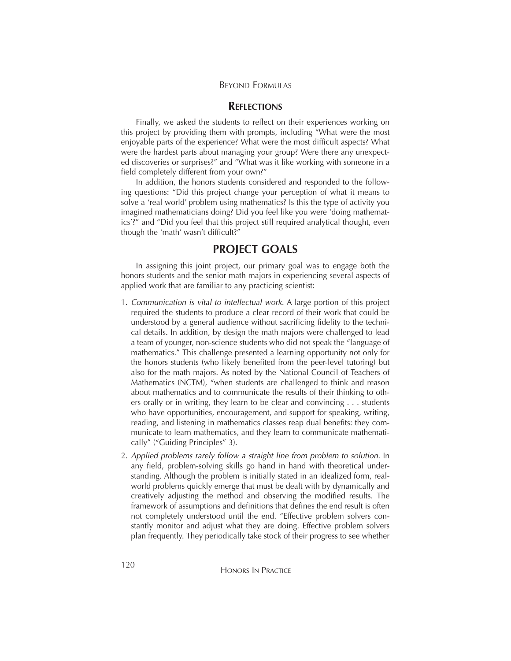#### BEYOND FORMULAS

#### **REFLECTIONS**

Finally, we asked the students to reflect on their experiences working on this project by providing them with prompts, including "What were the most enjoyable parts of the experience? What were the most difficult aspects? What were the hardest parts about managing your group? Were there any unexpected discoveries or surprises?" and "What was it like working with someone in a field completely different from your own?"

In addition, the honors students considered and responded to the following questions: "Did this project change your perception of what it means to solve a 'real world' problem using mathematics? Is this the type of activity you imagined mathematicians doing? Did you feel like you were 'doing mathematics'?" and "Did you feel that this project still required analytical thought, even though the 'math' wasn't difficult?"

## **PROJECT GOALS**

In assigning this joint project, our primary goal was to engage both the honors students and the senior math majors in experiencing several aspects of applied work that are familiar to any practicing scientist:

- 1. *Communication is vital to intellectual work*. A large portion of this project required the students to produce a clear record of their work that could be understood by a general audience without sacrificing fidelity to the technical details. In addition, by design the math majors were challenged to lead a team of younger, non-science students who did not speak the "language of mathematics." This challenge presented a learning opportunity not only for the honors students (who likely benefited from the peer-level tutoring) but also for the math majors. As noted by the National Council of Teachers of Mathematics (NCTM), "when students are challenged to think and reason about mathematics and to communicate the results of their thinking to others orally or in writing, they learn to be clear and convincing . . . students who have opportunities, encouragement, and support for speaking, writing, reading, and listening in mathematics classes reap dual benefits: they communicate to learn mathematics, and they learn to communicate mathematically" ("Guiding Principles" 3).
- 2. *Applied problems rarely follow a straight line from problem to solution.* In any field, problem-solving skills go hand in hand with theoretical understanding. Although the problem is initially stated in an idealized form, realworld problems quickly emerge that must be dealt with by dynamically and creatively adjusting the method and observing the modified results. The framework of assumptions and definitions that defines the end result is often not completely understood until the end. "Effective problem solvers constantly monitor and adjust what they are doing. Effective problem solvers plan frequently. They periodically take stock of their progress to see whether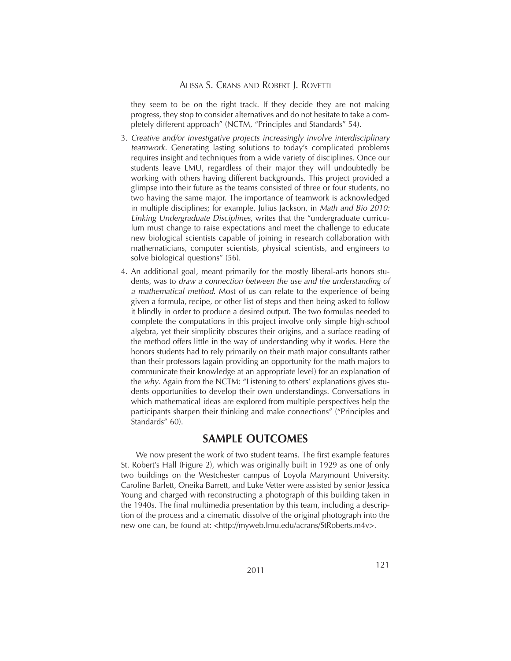#### ALISSA S. CRANS AND ROBERT J. ROVETTI

they seem to be on the right track. If they decide they are not making progress, they stop to consider alternatives and do not hesitate to take a completely different approach" (NCTM, "Principles and Standards" 54).

- 3. *Creative and/or investigative projects increasingly involve interdisciplinary teamwork.* Generating lasting solutions to today's complicated problems requires insight and techniques from a wide variety of disciplines. Once our students leave LMU, regardless of their major they will undoubtedly be working with others having different backgrounds. This project provided a glimpse into their future as the teams consisted of three or four students, no two having the same major. The importance of teamwork is acknowledged in multiple disciplines; for example, Julius Jackson, in *Math and Bio 2010: Linking Undergraduate Disciplines*, writes that the "undergraduate curriculum must change to raise expectations and meet the challenge to educate new biological scientists capable of joining in research collaboration with mathematicians, computer scientists, physical scientists, and engineers to solve biological questions" (56).
- 4. An additional goal, meant primarily for the mostly liberal-arts honors students, was to *draw a connection between the use and the understanding of a mathematical method*. Most of us can relate to the experience of being given a formula, recipe, or other list of steps and then being asked to follow it blindly in order to produce a desired output. The two formulas needed to complete the computations in this project involve only simple high-school algebra, yet their simplicity obscures their origins, and a surface reading of the method offers little in the way of understanding why it works. Here the honors students had to rely primarily on their math major consultants rather than their professors (again providing an opportunity for the math majors to communicate their knowledge at an appropriate level) for an explanation of the *why*. Again from the NCTM: "Listening to others' explanations gives students opportunities to develop their own understandings. Conversations in which mathematical ideas are explored from multiple perspectives help the participants sharpen their thinking and make connections" ("Principles and Standards" 60).

## **SAMPLE OUTCOMES**

We now present the work of two student teams. The first example features St. Robert's Hall (Figure 2), which was originally built in 1929 as one of only two buildings on the Westchester campus of Loyola Marymount University. Caroline Barlett, Oneika Barrett, and Luke Vetter were assisted by senior Jessica Young and charged with reconstructing a photograph of this building taken in the 1940s. The final multimedia presentation by this team, including a description of the process and a cinematic dissolve of the original photograph into the new one can, be found at: <http://myweb.lmu.edu/acrans/StRoberts.m4v>.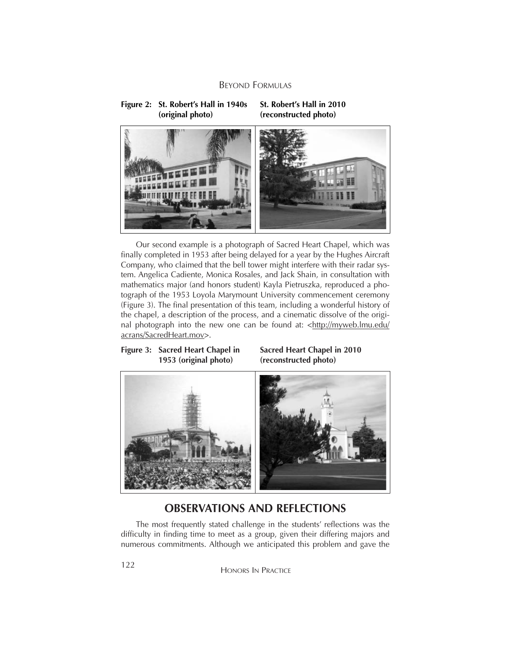**Figure 2: St. Robert's Hall in 1940s (original photo)**

#### **St. Robert's Hall in 2010 (reconstructed photo)**



Our second example is a photograph of Sacred Heart Chapel, which was finally completed in 1953 after being delayed for a year by the Hughes Aircraft Company, who claimed that the bell tower might interfere with their radar system. Angelica Cadiente, Monica Rosales, and Jack Shain, in consultation with mathematics major (and honors student) Kayla Pietruszka, reproduced a photograph of the 1953 Loyola Marymount University commencement ceremony (Figure 3). The final presentation of this team, including a wonderful history of the chapel, a description of the process, and a cinematic dissolve of the original photograph into the new one can be found at: <http://myweb.lmu.edu/ acrans/SacredHeart.mov>.

#### **Figure 3: Sacred Heart Chapel in 1953 (original photo)**

#### **Sacred Heart Chapel in 2010 (reconstructed photo)**



## **OBSERVATIONS AND REFLECTIONS**

The most frequently stated challenge in the students' reflections was the difficulty in finding time to meet as a group, given their differing majors and numerous commitments. Although we anticipated this problem and gave the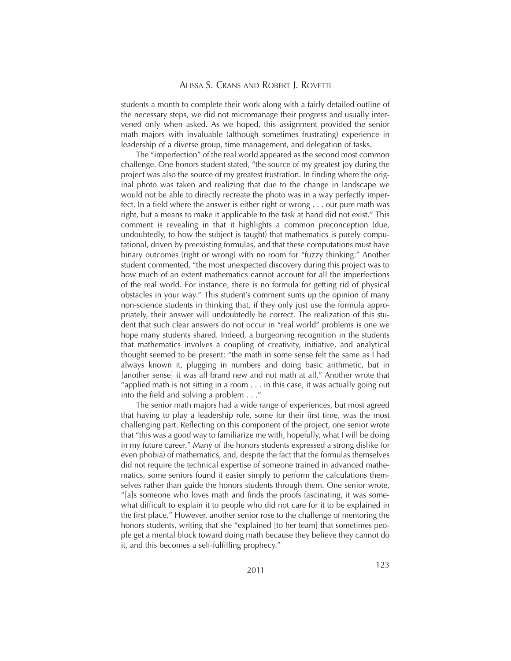students a month to complete their work along with a fairly detailed outline of the necessary steps, we did not micromanage their progress and usually intervened only when asked. As we hoped, this assignment provided the senior math majors with invaluable (although sometimes frustrating) experience in leadership of a diverse group, time management, and delegation of tasks.

The "imperfection" of the real world appeared as the second most common challenge. One honors student stated, "the source of my greatest joy during the project was also the source of my greatest frustration. In finding where the original photo was taken and realizing that due to the change in landscape we would not be able to directly recreate the photo was in a way perfectly imperfect. In a field where the answer is either right or wrong . . . our pure math was right, but a means to make it applicable to the task at hand did not exist." This comment is revealing in that it highlights a common preconception (due, undoubtedly, to how the subject is taught) that mathematics is purely computational, driven by preexisting formulas, and that these computations must have binary outcomes (right or wrong) with no room for "fuzzy thinking." Another student commented, "the most unexpected discovery during this project was to how much of an extent mathematics cannot account for all the imperfections of the real world. For instance, there is no formula for getting rid of physical obstacles in your way." This student's comment sums up the opinion of many non-science students in thinking that, if they only just use the formula appropriately, their answer will undoubtedly be correct. The realization of this student that such clear answers do not occur in "real world" problems is one we hope many students shared. Indeed, a burgeoning recognition in the students that mathematics involves a coupling of creativity, initiative, and analytical thought seemed to be present: "the math in some sense felt the same as I had always known it, plugging in numbers and doing basic arithmetic, but in [another sense] it was all brand new and not math at all." Another wrote that "applied math is not sitting in a room . . . in this case, it was actually going out into the field and solving a problem . . ."

The senior math majors had a wide range of experiences, but most agreed that having to play a leadership role, some for their first time, was the most challenging part. Reflecting on this component of the project, one senior wrote that "this was a good way to familiarize me with, hopefully, what I will be doing in my future career." Many of the honors students expressed a strong dislike (or even phobia) of mathematics, and, despite the fact that the formulas themselves did not require the technical expertise of someone trained in advanced mathematics, some seniors found it easier simply to perform the calculations themselves rather than guide the honors students through them. One senior wrote, "[a]s someone who loves math and finds the proofs fascinating, it was somewhat difficult to explain it to people who did not care for it to be explained in the first place." However, another senior rose to the challenge of mentoring the honors students, writing that she "explained [to her team] that sometimes people get a mental block toward doing math because they believe they cannot do it, and this becomes a self-fulfilling prophecy."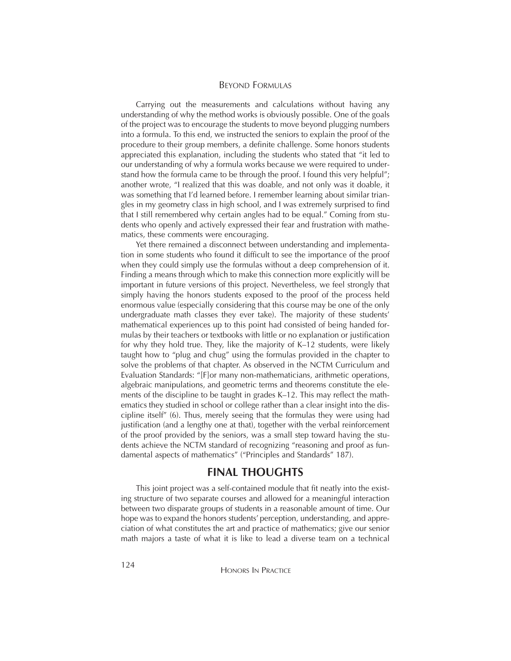Carrying out the measurements and calculations without having any understanding of why the method works is obviously possible. One of the goals of the project was to encourage the students to move beyond plugging numbers into a formula. To this end, we instructed the seniors to explain the proof of the procedure to their group members, a definite challenge. Some honors students appreciated this explanation, including the students who stated that "it led to our understanding of why a formula works because we were required to understand how the formula came to be through the proof. I found this very helpful"; another wrote, "I realized that this was doable, and not only was it doable, it was something that I'd learned before. I remember learning about similar triangles in my geometry class in high school, and I was extremely surprised to find that I still remembered why certain angles had to be equal." Coming from students who openly and actively expressed their fear and frustration with mathematics, these comments were encouraging.

Yet there remained a disconnect between understanding and implementation in some students who found it difficult to see the importance of the proof when they could simply use the formulas without a deep comprehension of it. Finding a means through which to make this connection more explicitly will be important in future versions of this project. Nevertheless, we feel strongly that simply having the honors students exposed to the proof of the process held enormous value (especially considering that this course may be one of the only undergraduate math classes they ever take). The majority of these students' mathematical experiences up to this point had consisted of being handed formulas by their teachers or textbooks with little or no explanation or justification for why they hold true. They, like the majority of K–12 students, were likely taught how to "plug and chug" using the formulas provided in the chapter to solve the problems of that chapter. As observed in the NCTM Curriculum and Evaluation Standards: "[F]or many non-mathematicians, arithmetic operations, algebraic manipulations, and geometric terms and theorems constitute the elements of the discipline to be taught in grades K–12. This may reflect the mathematics they studied in school or college rather than a clear insight into the discipline itself" (6). Thus, merely seeing that the formulas they were using had justification (and a lengthy one at that), together with the verbal reinforcement of the proof provided by the seniors, was a small step toward having the students achieve the NCTM standard of recognizing "reasoning and proof as fundamental aspects of mathematics" ("Principles and Standards" 187).

## **FINAL THOUGHTS**

This joint project was a self-contained module that fit neatly into the existing structure of two separate courses and allowed for a meaningful interaction between two disparate groups of students in a reasonable amount of time. Our hope was to expand the honors students' perception, understanding, and appreciation of what constitutes the art and practice of mathematics; give our senior math majors a taste of what it is like to lead a diverse team on a technical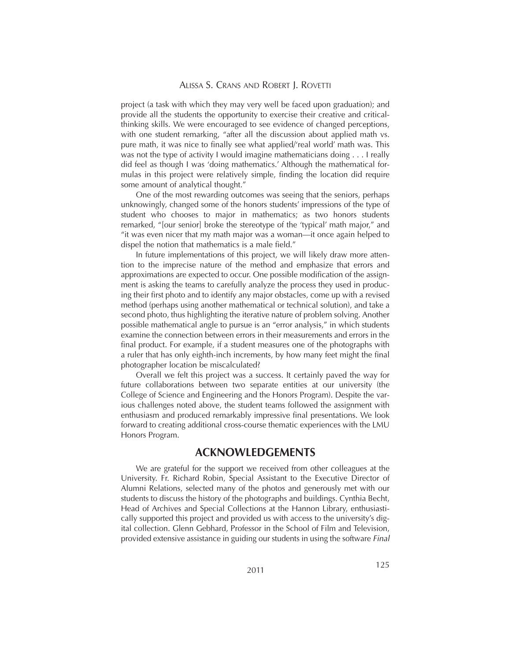#### ALISSA S. CRANS AND ROBERT J. ROVETTI

project (a task with which they may very well be faced upon graduation); and provide all the students the opportunity to exercise their creative and criticalthinking skills. We were encouraged to see evidence of changed perceptions, with one student remarking, "after all the discussion about applied math vs. pure math, it was nice to finally see what applied/'real world' math was. This was not the type of activity I would imagine mathematicians doing . . . I really did feel as though I was 'doing mathematics.' Although the mathematical formulas in this project were relatively simple, finding the location did require some amount of analytical thought."

One of the most rewarding outcomes was seeing that the seniors, perhaps unknowingly, changed some of the honors students' impressions of the type of student who chooses to major in mathematics; as two honors students remarked, "[our senior] broke the stereotype of the 'typical' math major," and "it was even nicer that my math major was a woman—it once again helped to dispel the notion that mathematics is a male field."

In future implementations of this project, we will likely draw more attention to the imprecise nature of the method and emphasize that errors and approximations are expected to occur. One possible modification of the assignment is asking the teams to carefully analyze the process they used in producing their first photo and to identify any major obstacles, come up with a revised method (perhaps using another mathematical or technical solution), and take a second photo, thus highlighting the iterative nature of problem solving. Another possible mathematical angle to pursue is an "error analysis," in which students examine the connection between errors in their measurements and errors in the final product. For example, if a student measures one of the photographs with a ruler that has only eighth-inch increments, by how many feet might the final photographer location be miscalculated?

Overall we felt this project was a success. It certainly paved the way for future collaborations between two separate entities at our university (the College of Science and Engineering and the Honors Program). Despite the various challenges noted above, the student teams followed the assignment with enthusiasm and produced remarkably impressive final presentations. We look forward to creating additional cross-course thematic experiences with the LMU Honors Program.

## **ACKNOWLEDGEMENTS**

We are grateful for the support we received from other colleagues at the University. Fr. Richard Robin, Special Assistant to the Executive Director of Alumni Relations, selected many of the photos and generously met with our students to discuss the history of the photographs and buildings. Cynthia Becht, Head of Archives and Special Collections at the Hannon Library, enthusiastically supported this project and provided us with access to the university's digital collection. Glenn Gebhard, Professor in the School of Film and Television, provided extensive assistance in guiding our students in using the software *Final*